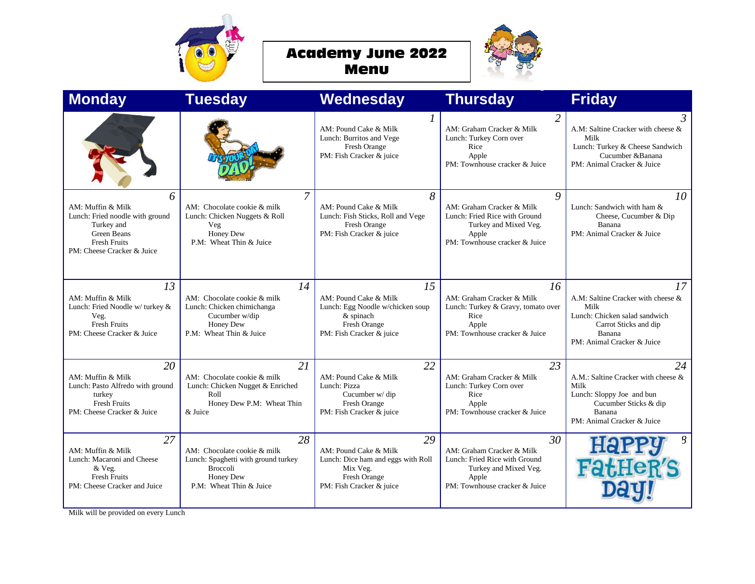



| <b>Monday</b>                                                                                                                               | <b>Tuesday</b>                                                                                                               | Wednesday                                                                                                                 | <b>Thursday</b>                                                                                                                     | <b>Friday</b>                                                                                                                                      |
|---------------------------------------------------------------------------------------------------------------------------------------------|------------------------------------------------------------------------------------------------------------------------------|---------------------------------------------------------------------------------------------------------------------------|-------------------------------------------------------------------------------------------------------------------------------------|----------------------------------------------------------------------------------------------------------------------------------------------------|
|                                                                                                                                             |                                                                                                                              | 1<br>AM: Pound Cake & Milk<br>Lunch: Burritos and Vege<br>Fresh Orange<br>PM: Fish Cracker & juice                        | $\overline{2}$<br>AM: Graham Cracker & Milk<br>Lunch: Turkey Corn over<br>Rice<br>Apple<br>PM: Townhouse cracker & Juice            | 3<br>A.M: Saltine Cracker with cheese &<br>Milk<br>Lunch: Turkey & Cheese Sandwich<br>Cucumber & Banana<br>PM: Animal Cracker & Juice              |
| 6<br>AM: Muffin & Milk<br>Lunch: Fried noodle with ground<br>Turkey and<br>Green Beans<br><b>Fresh Fruits</b><br>PM: Cheese Cracker & Juice | 7<br>AM: Chocolate cookie & milk<br>Lunch: Chicken Nuggets & Roll<br>Veg<br>Honey Dew<br>P.M: Wheat Thin & Juice             | 8<br>AM: Pound Cake & Milk<br>Lunch: Fish Sticks, Roll and Vege<br>Fresh Orange<br>PM: Fish Cracker & juice               | Q<br>AM: Graham Cracker & Milk<br>Lunch: Fried Rice with Ground<br>Turkey and Mixed Veg.<br>Apple<br>PM: Townhouse cracker & Juice  | 10<br>Lunch: Sandwich with ham &<br>Cheese, Cucumber & Dip<br>Banana<br>PM: Animal Cracker & Juice                                                 |
| 13<br>AM: Muffin & Milk<br>Lunch: Fried Noodle w/ turkey &<br>Veg.<br><b>Fresh Fruits</b><br>PM: Cheese Cracker & Juice                     | 14<br>AM: Chocolate cookie & milk<br>Lunch: Chicken chimichanga<br>Cucumber w/dip<br>Honey Dew<br>P.M: Wheat Thin & Juice    | 15<br>AM: Pound Cake & Milk<br>Lunch: Egg Noodle w/chicken soup<br>& spinach<br>Fresh Orange<br>PM: Fish Cracker & juice  | 16<br>AM: Graham Cracker & Milk<br>Lunch: Turkey & Gravy, tomato over<br>Rice<br>Apple<br>PM: Townhouse cracker & Juice             | 17<br>A.M: Saltine Cracker with cheese &<br>Milk<br>Lunch: Chicken salad sandwich<br>Carrot Sticks and dip<br>Banana<br>PM: Animal Cracker & Juice |
| 20<br>AM: Muffin & Milk<br>Lunch: Pasto Alfredo with ground<br>turkey<br><b>Fresh Fruits</b><br>PM: Cheese Cracker & Juice                  | 21<br>AM: Chocolate cookie & milk<br>Lunch: Chicken Nugget & Enriched<br>Roll<br>Honey Dew P.M: Wheat Thin<br>& Juice        | 22<br>AM: Pound Cake & Milk<br>Lunch: Pizza<br>Cucumber w/ dip<br>Fresh Orange<br>PM: Fish Cracker & juice                | 23<br>AM: Graham Cracker & Milk<br>Lunch: Turkey Corn over<br>Rice<br>Apple<br>PM: Townhouse cracker & Juice                        | 24<br>A.M.: Saltine Cracker with cheese &<br>Milk<br>Lunch: Sloppy Joe and bun<br>Cucumber Sticks & dip<br>Banana<br>PM: Animal Cracker & Juice    |
| 27<br>AM: Muffin & Milk<br>Lunch: Macaroni and Cheese<br>& Veg.<br><b>Fresh Fruits</b><br>PM: Cheese Cracker and Juice                      | 28<br>AM: Chocolate cookie & milk<br>Lunch: Spaghetti with ground turkey<br>Broccoli<br>Honey Dew<br>P.M: Wheat Thin & Juice | 29<br>AM: Pound Cake & Milk<br>Lunch: Dice ham and eggs with Roll<br>Mix Veg.<br>Fresh Orange<br>PM: Fish Cracker & juice | 30<br>AM: Graham Cracker & Milk<br>Lunch: Fried Rice with Ground<br>Turkey and Mixed Veg.<br>Apple<br>PM: Townhouse cracker & Juice | 8<br><b>FarHeR</b>                                                                                                                                 |

Milk will be provided on every Lunch